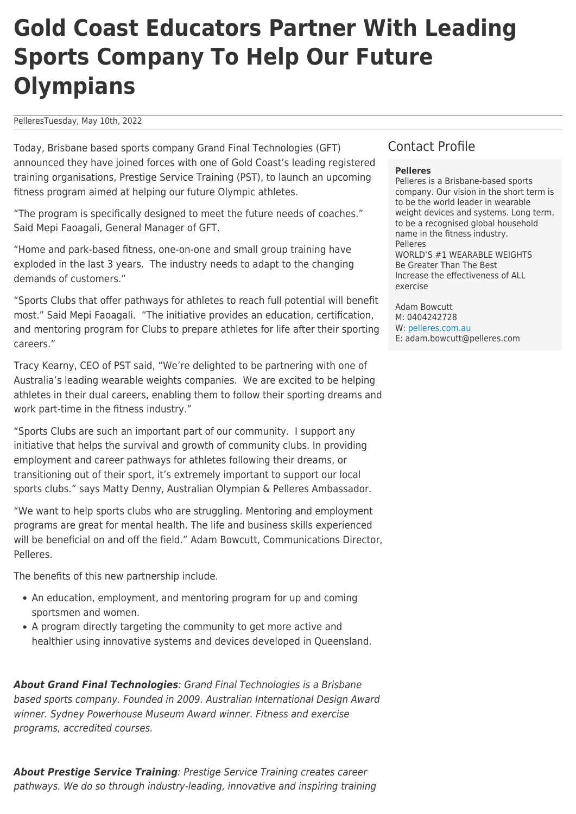## **Gold Coast Educators Partner With Leading Sports Company To Help Our Future Olympians**

PelleresTuesday, May 10th, 2022

Today, Brisbane based sports company Grand Final Technologies (GFT) announced they have joined forces with one of Gold Coast's leading registered training organisations, Prestige Service Training (PST), to launch an upcoming fitness program aimed at helping our future Olympic athletes.

"The program is specifically designed to meet the future needs of coaches." Said Mepi Faoagali, General Manager of GFT.

"Home and park-based fitness, one-on-one and small group training have exploded in the last 3 years. The industry needs to adapt to the changing demands of customers."

"Sports Clubs that offer pathways for athletes to reach full potential will benefit most." Said Mepi Faoagali. "The initiative provides an education, certification, and mentoring program for Clubs to prepare athletes for life after their sporting careers."

Tracy Kearny, CEO of PST said, "We're delighted to be partnering with one of Australia's leading wearable weights companies. We are excited to be helping athletes in their dual careers, enabling them to follow their sporting dreams and work part-time in the fitness industry."

"Sports Clubs are such an important part of our community. I support any initiative that helps the survival and growth of community clubs. In providing employment and career pathways for athletes following their dreams, or transitioning out of their sport, it's extremely important to support our local sports clubs." says Matty Denny, Australian Olympian & Pelleres Ambassador.

"We want to help sports clubs who are struggling. Mentoring and employment programs are great for mental health. The life and business skills experienced will be beneficial on and off the field." Adam Bowcutt, Communications Director, Pelleres.

The benefits of this new partnership include.

- An education, employment, and mentoring program for up and coming sportsmen and women.
- A program directly targeting the community to get more active and healthier using innovative systems and devices developed in Queensland.

*About Grand Final Technologies*: Grand Final Technologies is a Brisbane based sports company. Founded in 2009. Australian International Design Award winner. Sydney Powerhouse Museum Award winner. Fitness and exercise programs, accredited courses.

## Contact Profile

### **Pelleres**

Pelleres is a Brisbane-based sports company. Our vision in the short term is to be the world leader in wearable weight devices and systems. Long term, to be a recognised global household name in the fitness industry. Pelleres WORLD'S #1 WEARABLE WEIGHTS Be Greater Than The Best Increase the effectiveness of ALL exercise

Adam Bowcutt M: 0404242728 W: [pelleres.com.au](https://pelleres.com.au) E: adam.bowcutt@pelleres.com

*About Prestige Service Training*: Prestige Service Training creates career pathways. We do so through industry-leading, innovative and inspiring training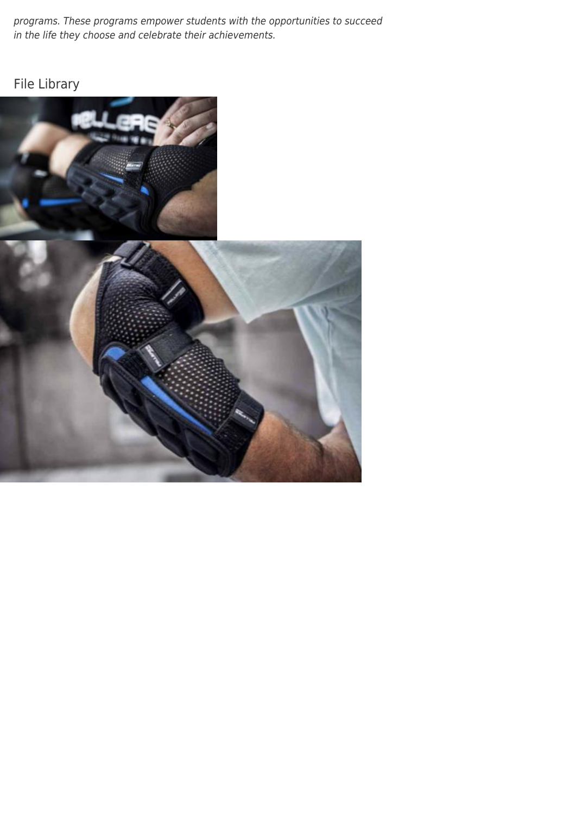programs. These programs empower students with the opportunities to succeed in the life they choose and celebrate their achievements.

## File Library